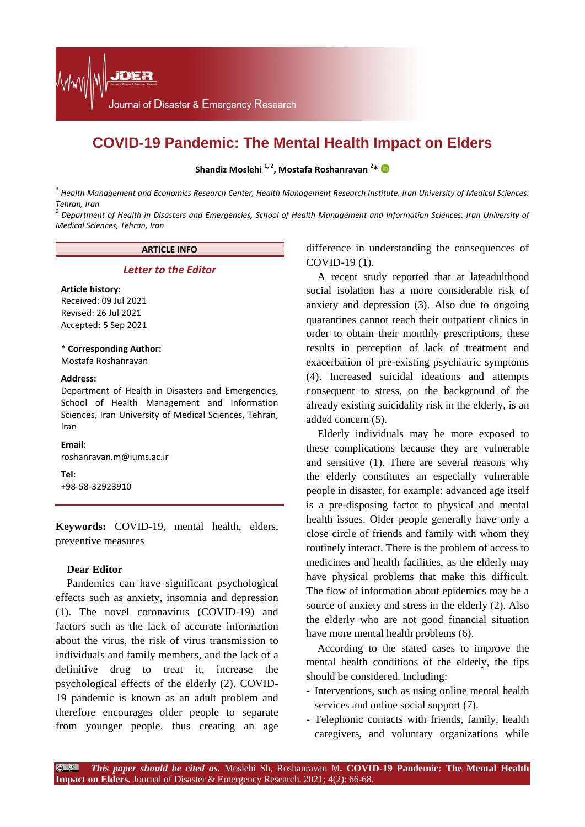# **COVID-19 Pandemic: The Mental Health Impact on Elders**

**Shandiz Moslehi 1, 2, Mostafa Roshanravan <sup>2</sup> \***

*<sup>1</sup> Health Management and Economics Research Center, Health Management Research Institute, Iran University of Medical Sciences, Tehran, Iran*

*<sup>2</sup> Department of Health in Disasters and Emergencies, School of Health Management and Information Sciences, Iran University of Medical Sciences, Tehran, Iran*

## **ARTICLE INFO**

### *Letter to the Editor*

#### **Article history:**

Received: 09 Jul 2021 Revised: 26 Jul 2021 Accepted: 5 Sep 2021

### **\* Corresponding Author:**

Mostafa Roshanravan

#### **Address:**

Department of Health in Disasters and Emergencies, School of Health Management and Information Sciences, Iran University of Medical Sciences, Tehran, Iran

## **Email:**

roshanravan.m@iums.ac.ir

**Tel:** +98-58-32923910

**Keywords:** COVID-19, mental health, elders, preventive measures

## **Dear Editor**

Pandemics can have significant psychological effects such as anxiety, insomnia and depression (1). The novel coronavirus (COVID-19) and factors such as the lack of accurate information about the virus, the risk of virus transmission to individuals and family members, and the lack of a definitive drug to treat it, increase the psychological effects of the elderly (2). COVID-19 pandemic is known as an adult problem and therefore encourages older people to separate from younger people, thus creating an age difference in understanding the consequences of COVID-19 (1).

A recent study reported that at lateadulthood social isolation has a more considerable risk of anxiety and depression (3). Also due to ongoing quarantines cannot reach their outpatient clinics in order to obtain their monthly prescriptions, these results in perception of lack of treatment and exacerbation of pre-existing psychiatric symptoms (4). Increased suicidal ideations and attempts consequent to stress, on the background of the already existing suicidality risk in the elderly, is an added concern (5).

Elderly individuals may be more exposed to these complications because they are vulnerable and sensitive (1). There are several reasons why the elderly constitutes an especially vulnerable people in disaster, for example: advanced age itself is a pre-disposing factor to physical and mental health issues. Older people generally have only a close circle of friends and family with whom they routinely interact. There is the problem of access to medicines and health facilities, as the elderly may have physical problems that make this difficult. The flow of information about epidemics may be a source of anxiety and stress in the elderly (2). Also the elderly who are not good financial situation have more mental health problems (6).

According to the stated cases to improve the mental health conditions of the elderly, the tips should be considered. Including:

- Interventions, such as using online mental health services and online social support [\(7\)](#page-1-0).
- Telephonic contacts with friends, family, health caregivers, and voluntary organizations while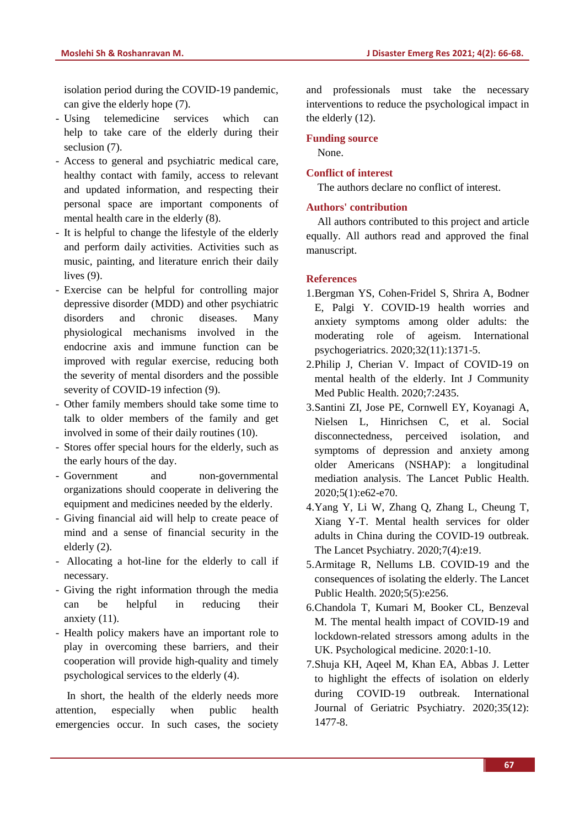isolation period during the COVID-19 pandemic, can give the elderly hope [\(7\)](#page-1-0).

- Using telemedicine services which can help to take care of the elderly during their seclusion [\(7\)](#page-1-0).
- Access to general and psychiatric medical care, healthy contact with family, access to relevant and updated information, and respecting their personal space are important components of mental health care in the elderly [\(8\)](#page-1-1).
- It is helpful to change the lifestyle of the elderly and perform daily activities. Activities such as music, painting, and literature enrich their daily lives [\(9\)](#page-2-0).
- Exercise can be helpful for controlling major depressive disorder (MDD) and other psychiatric disorders and chronic diseases. Many physiological mechanisms involved in the endocrine axis and immune function can be improved with regular exercise, reducing both the severity of mental disorders and the possible severity of COVID-19 infection [\(9\)](#page-2-0).
- Other family members should take some time to talk to older members of the family and get involved in some of their daily routines [\(10\)](#page-2-1).
- Stores offer special hours for the elderly, such as the early hours of the day.
- Government and non-governmental organizations should cooperate in delivering the equipment and medicines needed by the elderly.
- Giving financial aid will help to create peace of mind and a sense of financial security in the elderly [\(2\)](#page-1-2).
- Allocating a hot-line for the elderly to call if necessary.
- Giving the right information through the media can be helpful in reducing their anxiety [\(11\)](#page-2-2).
- Health policy makers have an important role to play in overcoming these barriers, and their cooperation will provide high-quality and timely psychological services to the elderly [\(4\)](#page-1-3).

In short, the health of the elderly needs more attention, especially when public health emergencies occur. In such cases, the society and professionals must take the necessary interventions to reduce the psychological impact in the elderly [\(12\)](#page-2-3).

# **Funding source**

None.

# **Conflict of interest**

The authors declare no conflict of interest.

## **Authors' contribution**

All authors contributed to this project and article equally. All authors read and approved the final manuscript.

# **References**

- <span id="page-1-2"></span>1.Bergman YS, Cohen-Fridel S, Shrira A, Bodner E, Palgi Y. COVID-19 health worries and anxiety symptoms among older adults: the moderating role of ageism. International psychogeriatrics. 2020;32(11):1371-5.
- 2.Philip J, Cherian V. Impact of COVID-19 on mental health of the elderly. Int J Community Med Public Health. 2020;7:2435.
- <span id="page-1-3"></span>3.Santini ZI, Jose PE, Cornwell EY, Koyanagi A, Nielsen L, Hinrichsen C, et al. Social disconnectedness, perceived isolation, and symptoms of depression and anxiety among older Americans (NSHAP): a longitudinal mediation analysis. The Lancet Public Health. 2020;5(1):e62-e70.
- 4.Yang Y, Li W, Zhang Q, Zhang L, Cheung T, Xiang Y-T. Mental health services for older adults in China during the COVID-19 outbreak. The Lancet Psychiatry. 2020;7(4):e19.
- 5.Armitage R, Nellums LB. COVID-19 and the consequences of isolating the elderly. The Lancet Public Health. 2020;5(5):e256.
- <span id="page-1-0"></span>6.Chandola T, Kumari M, Booker CL, Benzeval M. The mental health impact of COVID-19 and lockdown-related stressors among adults in the UK. Psychological medicine. 2020:1-10.
- <span id="page-1-1"></span>7.Shuja KH, Aqeel M, Khan EA, Abbas J. Letter to highlight the effects of isolation on elderly during COVID‐19 outbreak. International Journal of Geriatric Psychiatry. 2020;35(12): 1477-8.